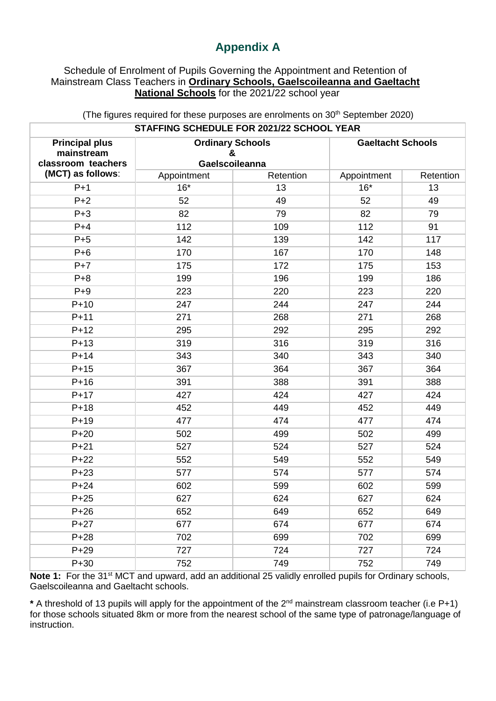## **Appendix A**

## Schedule of Enrolment of Pupils Governing the Appointment and Retention of Mainstream Class Teachers in **Ordinary Schools, Gaelscoileanna and Gaeltacht National Schools** for the 2021/22 school year

| <b>STAFFING SUNEDULE FUN ZUZ I/ZZ SUNUUL TEAN</b>         |             |                                                |                          |           |  |  |  |  |  |
|-----------------------------------------------------------|-------------|------------------------------------------------|--------------------------|-----------|--|--|--|--|--|
| <b>Principal plus</b><br>mainstream<br>classroom teachers |             | <b>Ordinary Schools</b><br>&<br>Gaelscoileanna | <b>Gaeltacht Schools</b> |           |  |  |  |  |  |
| (MCT) as follows:                                         | Appointment | Retention                                      | Appointment              | Retention |  |  |  |  |  |
| $P+1$                                                     | $16*$       | 13                                             | $16*$                    | 13        |  |  |  |  |  |
| $P+2$                                                     | 52          | 49                                             | 52                       | 49        |  |  |  |  |  |
| $P + 3$                                                   | 82          | 79                                             | 82                       | 79        |  |  |  |  |  |
| $P+4$                                                     | 112         | 109                                            | 112                      | 91        |  |  |  |  |  |
| $P+5$                                                     | 142         | 139                                            | 142                      | 117       |  |  |  |  |  |
| $P+6$                                                     | 170         | 167                                            | 170                      | 148       |  |  |  |  |  |
| $P+7$                                                     | 175         | 172                                            | 175                      | 153       |  |  |  |  |  |
| $P + 8$                                                   | 199         | 196                                            | 199                      | 186       |  |  |  |  |  |
| $P+9$                                                     | 223         | 220                                            | 223                      | 220       |  |  |  |  |  |
| $P+10$                                                    | 247         | 244                                            | 247                      | 244       |  |  |  |  |  |
| $P+11$                                                    | 271         | 268                                            | 271                      | 268       |  |  |  |  |  |
| $P+12$                                                    | 295         | 292                                            | 295                      | 292       |  |  |  |  |  |
| $P+13$                                                    | 319         | 316                                            | 319                      | 316       |  |  |  |  |  |
| $P+14$                                                    | 343         | 340                                            | 343                      | 340       |  |  |  |  |  |
| $P+15$                                                    | 367         | 364                                            | 367                      | 364       |  |  |  |  |  |
| $P+16$                                                    | 391         | 388                                            | 391                      | 388       |  |  |  |  |  |
| $P+17$                                                    | 427         | 424                                            | 427                      | 424       |  |  |  |  |  |
| $P+18$                                                    | 452         | 449                                            | 452                      | 449       |  |  |  |  |  |
| $P+19$                                                    | 477         | 474                                            | 477                      | 474       |  |  |  |  |  |
| $P+20$                                                    | 502         | 499                                            | 502                      | 499       |  |  |  |  |  |
| $P+21$                                                    | 527         | 524                                            | 527                      | 524       |  |  |  |  |  |
| $P + 22$                                                  | 552         | 549                                            | 552                      | 549       |  |  |  |  |  |
| $P + 23$                                                  | 577         | 574                                            | 577                      | 574       |  |  |  |  |  |
| $P+24$                                                    | 602         | 599                                            | 602                      | 599       |  |  |  |  |  |
| $P+25$                                                    | 627         | 624                                            | 627                      | 624       |  |  |  |  |  |
| $P + 26$                                                  | 652         | 649                                            | 652                      | 649       |  |  |  |  |  |
| $P+27$                                                    | 677         | 674                                            | 677                      | 674       |  |  |  |  |  |
| $P + 28$                                                  | 702         | 699                                            | 702                      | 699       |  |  |  |  |  |
| $P + 29$                                                  | 727         | 724                                            | 727                      | 724       |  |  |  |  |  |
| $P+30$                                                    | 752         | 749                                            | 752                      | 749       |  |  |  |  |  |

## (The figures required for these purposes are enrolments on  $30<sup>th</sup>$  September 2020) **STAFFING SCHEDULE FOR 2021/22 SCHOOL YEAR**

Note 1: For the 31<sup>st</sup> MCT and upward, add an additional 25 validly enrolled pupils for Ordinary schools, Gaelscoileanna and Gaeltacht schools.

**\*** A threshold of 13 pupils will apply for the appointment of the 2nd mainstream classroom teacher (i.e P+1) for those schools situated 8km or more from the nearest school of the same type of patronage/language of instruction.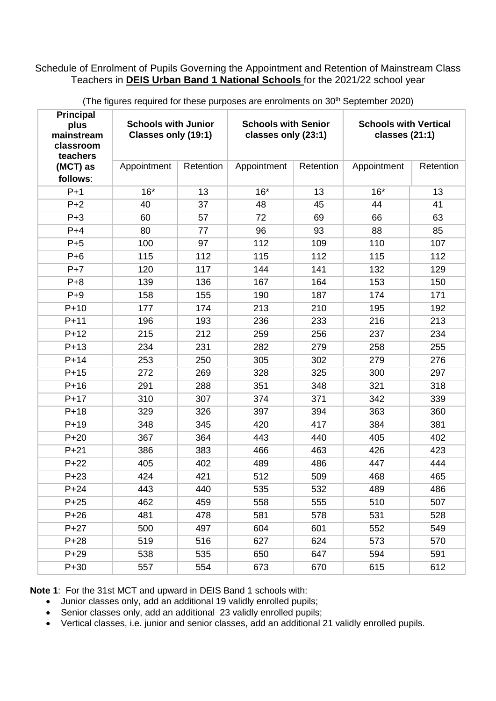## Schedule of Enrolment of Pupils Governing the Appointment and Retention of Mainstream Class Teachers in **DEIS Urban Band 1 National Schools** for the 2021/22 school year

| <b>Principal</b><br>plus<br>mainstream<br>classroom<br>teachers | <b>Schools with Junior</b><br>Classes only (19:1) |           | <b>Schools with Senior</b><br>classes only (23:1) |           | <b>Schools with Vertical</b><br>classes (21:1) |           |
|-----------------------------------------------------------------|---------------------------------------------------|-----------|---------------------------------------------------|-----------|------------------------------------------------|-----------|
| (MCT) as<br>follows:                                            | Appointment                                       | Retention | Appointment                                       | Retention | Appointment                                    | Retention |
| $P+1$                                                           | $16*$                                             | 13        | $16*$                                             | 13        | $16*$                                          | 13        |
| $P+2$                                                           | 40                                                | 37        | 48                                                | 45        | 44                                             | 41        |
| $P + 3$                                                         | 60                                                | 57        | 72                                                | 69        | 66                                             | 63        |
| $P+4$                                                           | 80                                                | 77        | 96                                                | 93        | 88                                             | 85        |
| $P+5$                                                           | 100                                               | 97        | 112                                               | 109       | 110                                            | 107       |
| $P+6$                                                           | 115                                               | 112       | 115                                               | 112       | 115                                            | 112       |
| $P+7$                                                           | 120                                               | 117       | 144                                               | 141       | 132                                            | 129       |
| $P + 8$                                                         | 139                                               | 136       | 167                                               | 164       | 153                                            | 150       |
| $P+9$                                                           | 158                                               | 155       | 190                                               | 187       | 174                                            | 171       |
| $P+10$                                                          | 177                                               | 174       | 213                                               | 210       | 195                                            | 192       |
| $P+11$                                                          | 196                                               | 193       | 236                                               | 233       | 216                                            | 213       |
| $P+12$                                                          | 215                                               | 212       | 259                                               | 256       | 237                                            | 234       |
| $P+13$                                                          | 234                                               | 231       | 282                                               | 279       | 258                                            | 255       |
| $P+14$                                                          | 253                                               | 250       | 305                                               | 302       | 279                                            | 276       |
| $P+15$                                                          | 272                                               | 269       | 328                                               | 325       | 300                                            | 297       |
| $P+16$                                                          | 291                                               | 288       | 351                                               | 348       | 321                                            | 318       |
| $P+17$                                                          | 310                                               | 307       | 374                                               | 371       | 342                                            | 339       |
| $P+18$                                                          | 329                                               | 326       | 397                                               | 394       | 363                                            | 360       |
| $P+19$                                                          | 348                                               | 345       | 420                                               | 417       | 384                                            | 381       |
| $P+20$                                                          | 367                                               | 364       | 443                                               | 440       | 405                                            | 402       |
| $P+21$                                                          | 386                                               | 383       | 466                                               | 463       | 426                                            | 423       |
| $P+22$                                                          | 405                                               | 402       | 489                                               | 486       | 447                                            | 444       |
| $P+23$                                                          | 424                                               | 421       | 512                                               | 509       | 468                                            | 465       |
| $P + 24$                                                        | 443                                               | 440       | 535                                               | 532       | 489                                            | 486       |
| $P+25$                                                          | 462                                               | 459       | 558                                               | 555       | 510                                            | 507       |
| $P + 26$                                                        | 481                                               | 478       | 581                                               | 578       | 531                                            | 528       |
| $P + 27$                                                        | 500                                               | 497       | 604                                               | 601       | 552                                            | 549       |
| $P + 28$                                                        | 519                                               | 516       | 627                                               | 624       | 573                                            | 570       |
| $P + 29$                                                        | 538                                               | 535       | 650                                               | 647       | 594                                            | 591       |
| $P+30$                                                          | 557                                               | 554       | 673                                               | 670       | 615                                            | 612       |

(The figures required for these purposes are enrolments on 30<sup>th</sup> September 2020)

**Note 1**: For the 31st MCT and upward in DEIS Band 1 schools with:

- Junior classes only, add an additional 19 validly enrolled pupils;
- Senior classes only, add an additional 23 validly enrolled pupils;
- Vertical classes, i.e. junior and senior classes, add an additional 21 validly enrolled pupils.